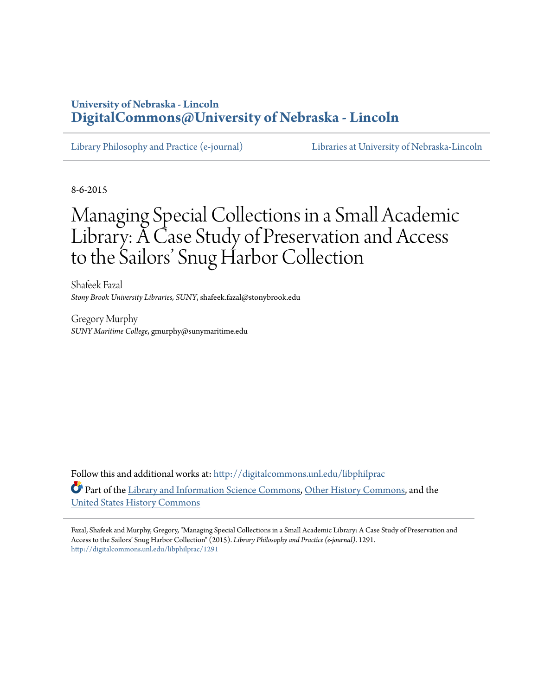# **University of Nebraska - Lincoln [DigitalCommons@University of Nebraska - Lincoln](http://digitalcommons.unl.edu?utm_source=digitalcommons.unl.edu%2Flibphilprac%2F1291&utm_medium=PDF&utm_campaign=PDFCoverPages)**

[Library Philosophy and Practice \(e-journal\)](http://digitalcommons.unl.edu/libphilprac?utm_source=digitalcommons.unl.edu%2Flibphilprac%2F1291&utm_medium=PDF&utm_campaign=PDFCoverPages) [Libraries at University of Nebraska-Lincoln](http://digitalcommons.unl.edu/libraries?utm_source=digitalcommons.unl.edu%2Flibphilprac%2F1291&utm_medium=PDF&utm_campaign=PDFCoverPages)

8-6-2015

# Managing Special Collections in a Small Academic Library: A Case Study of Preservation and Access to the Sailors' Snug Harbor Collection

Shafeek Fazal *Stony Brook University Libraries, SUNY*, shafeek.fazal@stonybrook.edu

Gregory Murphy *SUNY Maritime College*, gmurphy@sunymaritime.edu

Follow this and additional works at: [http://digitalcommons.unl.edu/libphilprac](http://digitalcommons.unl.edu/libphilprac?utm_source=digitalcommons.unl.edu%2Flibphilprac%2F1291&utm_medium=PDF&utm_campaign=PDFCoverPages) Part of the [Library and Information Science Commons,](http://network.bepress.com/hgg/discipline/1018?utm_source=digitalcommons.unl.edu%2Flibphilprac%2F1291&utm_medium=PDF&utm_campaign=PDFCoverPages) [Other History Commons,](http://network.bepress.com/hgg/discipline/508?utm_source=digitalcommons.unl.edu%2Flibphilprac%2F1291&utm_medium=PDF&utm_campaign=PDFCoverPages) and the [United States History Commons](http://network.bepress.com/hgg/discipline/495?utm_source=digitalcommons.unl.edu%2Flibphilprac%2F1291&utm_medium=PDF&utm_campaign=PDFCoverPages)

Fazal, Shafeek and Murphy, Gregory, "Managing Special Collections in a Small Academic Library: A Case Study of Preservation and Access to the Sailors' Snug Harbor Collection" (2015). *Library Philosophy and Practice (e-journal)*. 1291. [http://digitalcommons.unl.edu/libphilprac/1291](http://digitalcommons.unl.edu/libphilprac/1291?utm_source=digitalcommons.unl.edu%2Flibphilprac%2F1291&utm_medium=PDF&utm_campaign=PDFCoverPages)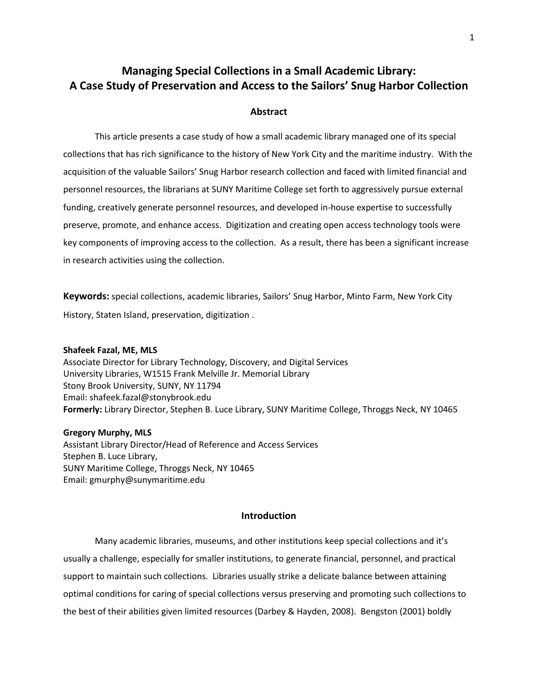# Managing Special Collections in a Small Academic Library: A Case Study of Preservation and Access to the Sailors' Snug Harbor Collection

# Abstract

This article presents a case study of how a small academic library managed one of its special collections that has rich significance to the history of New York City and the maritime industry. With the acquisition of the valuable Sailors' Snug Harbor research collection and faced with limited financial and personnel resources, the librarians at SUNY Maritime College set forth to aggressively pursue external funding, creatively generate personnel resources, and developed in-house expertise to successfully preserve, promote, and enhance access. Digitization and creating open access technology tools were key components of improving access to the collection. As a result, there has been a significant increase in research activities using the collection.

Keywords: special collections, academic libraries, Sailors' Snug Harbor, Minto Farm, New York City History, Staten Island, preservation, digitization .

#### Shafeek Fazal, ME, MLS

Associate Director for Library Technology, Discovery, and Digital Services University Libraries, W1515 Frank Melville Jr. Memorial Library Stony Brook University, SUNY, NY 11794 Email: shafeek.fazal@stonybrook.edu Formerly: Library Director, Stephen B. Luce Library, SUNY Maritime College, Throggs Neck, NY 10465

# Gregory Murphy, MLS

Assistant Library Director/Head of Reference and Access Services Stephen B. Luce Library, SUNY Maritime College, Throggs Neck, NY 10465 Email: gmurphy@sunymaritime.edu

# Introduction

Many academic libraries, museums, and other institutions keep special collections and it's usually a challenge, especially for smaller institutions, to generate financial, personnel, and practical support to maintain such collections. Libraries usually strike a delicate balance between attaining optimal conditions for caring of special collections versus preserving and promoting such collections to the best of their abilities given limited resources (Darbey & Hayden, 2008). Bengston (2001) boldly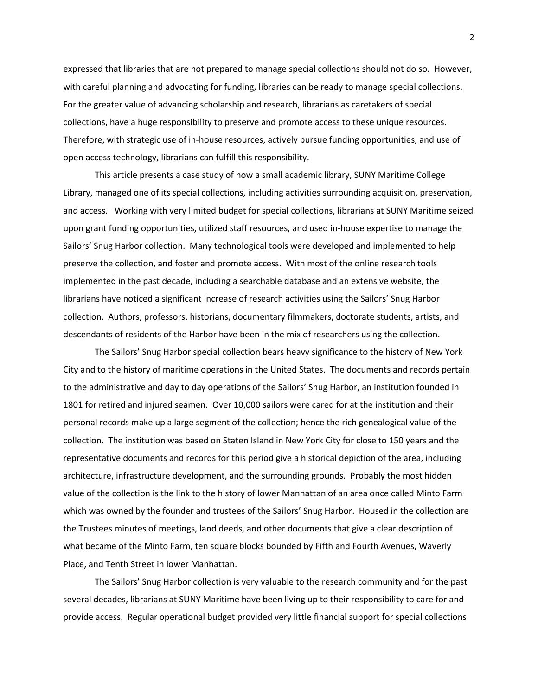expressed that libraries that are not prepared to manage special collections should not do so. However, with careful planning and advocating for funding, libraries can be ready to manage special collections. For the greater value of advancing scholarship and research, librarians as caretakers of special collections, have a huge responsibility to preserve and promote access to these unique resources. Therefore, with strategic use of in-house resources, actively pursue funding opportunities, and use of open access technology, librarians can fulfill this responsibility.

This article presents a case study of how a small academic library, SUNY Maritime College Library, managed one of its special collections, including activities surrounding acquisition, preservation, and access. Working with very limited budget for special collections, librarians at SUNY Maritime seized upon grant funding opportunities, utilized staff resources, and used in-house expertise to manage the Sailors' Snug Harbor collection. Many technological tools were developed and implemented to help preserve the collection, and foster and promote access. With most of the online research tools implemented in the past decade, including a searchable database and an extensive website, the librarians have noticed a significant increase of research activities using the Sailors' Snug Harbor collection. Authors, professors, historians, documentary filmmakers, doctorate students, artists, and descendants of residents of the Harbor have been in the mix of researchers using the collection.

The Sailors' Snug Harbor special collection bears heavy significance to the history of New York City and to the history of maritime operations in the United States. The documents and records pertain to the administrative and day to day operations of the Sailors' Snug Harbor, an institution founded in 1801 for retired and injured seamen. Over 10,000 sailors were cared for at the institution and their personal records make up a large segment of the collection; hence the rich genealogical value of the collection. The institution was based on Staten Island in New York City for close to 150 years and the representative documents and records for this period give a historical depiction of the area, including architecture, infrastructure development, and the surrounding grounds. Probably the most hidden value of the collection is the link to the history of lower Manhattan of an area once called Minto Farm which was owned by the founder and trustees of the Sailors' Snug Harbor. Housed in the collection are the Trustees minutes of meetings, land deeds, and other documents that give a clear description of what became of the Minto Farm, ten square blocks bounded by Fifth and Fourth Avenues, Waverly Place, and Tenth Street in lower Manhattan.

The Sailors' Snug Harbor collection is very valuable to the research community and for the past several decades, librarians at SUNY Maritime have been living up to their responsibility to care for and provide access. Regular operational budget provided very little financial support for special collections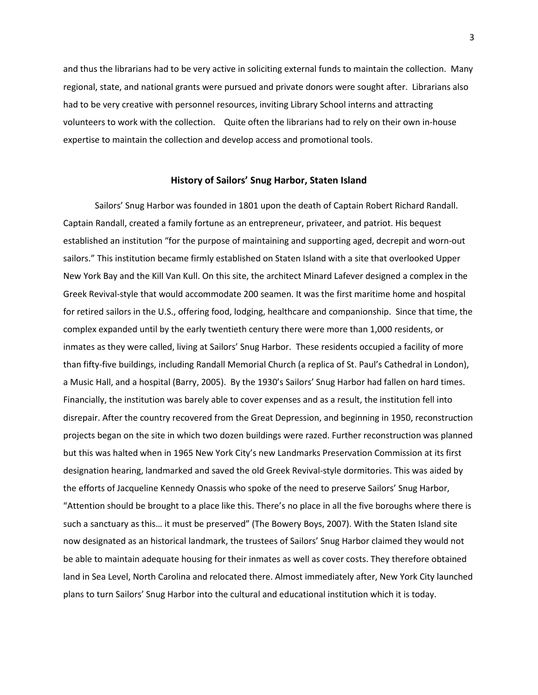and thus the librarians had to be very active in soliciting external funds to maintain the collection. Many regional, state, and national grants were pursued and private donors were sought after. Librarians also had to be very creative with personnel resources, inviting Library School interns and attracting volunteers to work with the collection. Quite often the librarians had to rely on their own in-house expertise to maintain the collection and develop access and promotional tools.

# History of Sailors' Snug Harbor, Staten Island

Sailors' Snug Harbor was founded in 1801 upon the death of Captain Robert Richard Randall. Captain Randall, created a family fortune as an entrepreneur, privateer, and patriot. His bequest established an institution "for the purpose of maintaining and supporting aged, decrepit and worn-out sailors." This institution became firmly established on Staten Island with a site that overlooked Upper New York Bay and the Kill Van Kull. On this site, the architect Minard Lafever designed a complex in the Greek Revival-style that would accommodate 200 seamen. It was the first maritime home and hospital for retired sailors in the U.S., offering food, lodging, healthcare and companionship. Since that time, the complex expanded until by the early twentieth century there were more than 1,000 residents, or inmates as they were called, living at Sailors' Snug Harbor. These residents occupied a facility of more than fifty-five buildings, including Randall Memorial Church (a replica of St. Paul's Cathedral in London), a Music Hall, and a hospital (Barry, 2005). By the 1930's Sailors' Snug Harbor had fallen on hard times. Financially, the institution was barely able to cover expenses and as a result, the institution fell into disrepair. After the country recovered from the Great Depression, and beginning in 1950, reconstruction projects began on the site in which two dozen buildings were razed. Further reconstruction was planned but this was halted when in 1965 New York City's new Landmarks Preservation Commission at its first designation hearing, landmarked and saved the old Greek Revival-style dormitories. This was aided by the efforts of Jacqueline Kennedy Onassis who spoke of the need to preserve Sailors' Snug Harbor, "Attention should be brought to a place like this. There's no place in all the five boroughs where there is such a sanctuary as this… it must be preserved" (The Bowery Boys, 2007). With the Staten Island site now designated as an historical landmark, the trustees of Sailors' Snug Harbor claimed they would not be able to maintain adequate housing for their inmates as well as cover costs. They therefore obtained land in Sea Level, North Carolina and relocated there. Almost immediately after, New York City launched plans to turn Sailors' Snug Harbor into the cultural and educational institution which it is today.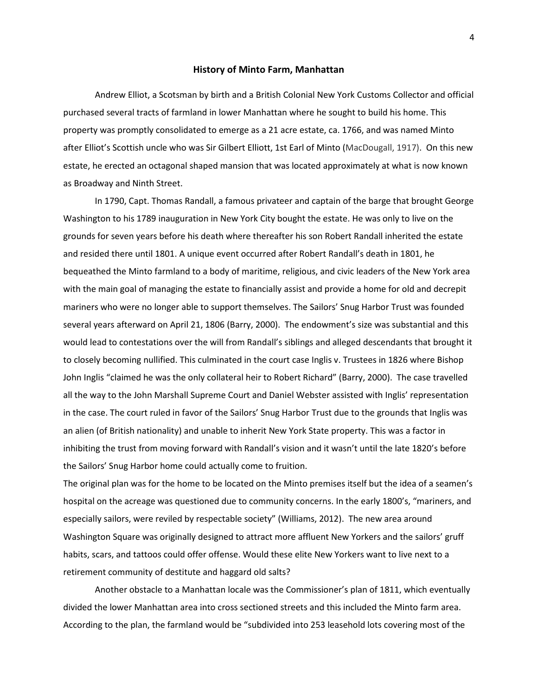#### History of Minto Farm, Manhattan

Andrew Elliot, a Scotsman by birth and a British Colonial New York Customs Collector and official purchased several tracts of farmland in lower Manhattan where he sought to build his home. This property was promptly consolidated to emerge as a 21 acre estate, ca. 1766, and was named Minto after Elliot's Scottish uncle who was Sir Gilbert Elliott, 1st Earl of Minto (MacDougall, 1917). On this new estate, he erected an octagonal shaped mansion that was located approximately at what is now known as Broadway and Ninth Street.

In 1790, Capt. Thomas Randall, a famous privateer and captain of the barge that brought George Washington to his 1789 inauguration in New York City bought the estate. He was only to live on the grounds for seven years before his death where thereafter his son Robert Randall inherited the estate and resided there until 1801. A unique event occurred after Robert Randall's death in 1801, he bequeathed the Minto farmland to a body of maritime, religious, and civic leaders of the New York area with the main goal of managing the estate to financially assist and provide a home for old and decrepit mariners who were no longer able to support themselves. The Sailors' Snug Harbor Trust was founded several years afterward on April 21, 1806 (Barry, 2000). The endowment's size was substantial and this would lead to contestations over the will from Randall's siblings and alleged descendants that brought it to closely becoming nullified. This culminated in the court case Inglis v. Trustees in 1826 where Bishop John Inglis "claimed he was the only collateral heir to Robert Richard" (Barry, 2000). The case travelled all the way to the John Marshall Supreme Court and Daniel Webster assisted with Inglis' representation in the case. The court ruled in favor of the Sailors' Snug Harbor Trust due to the grounds that Inglis was an alien (of British nationality) and unable to inherit New York State property. This was a factor in inhibiting the trust from moving forward with Randall's vision and it wasn't until the late 1820's before the Sailors' Snug Harbor home could actually come to fruition.

The original plan was for the home to be located on the Minto premises itself but the idea of a seamen's hospital on the acreage was questioned due to community concerns. In the early 1800's, "mariners, and especially sailors, were reviled by respectable society" (Williams, 2012). The new area around Washington Square was originally designed to attract more affluent New Yorkers and the sailors' gruff habits, scars, and tattoos could offer offense. Would these elite New Yorkers want to live next to a retirement community of destitute and haggard old salts?

Another obstacle to a Manhattan locale was the Commissioner's plan of 1811, which eventually divided the lower Manhattan area into cross sectioned streets and this included the Minto farm area. According to the plan, the farmland would be "subdivided into 253 leasehold lots covering most of the

4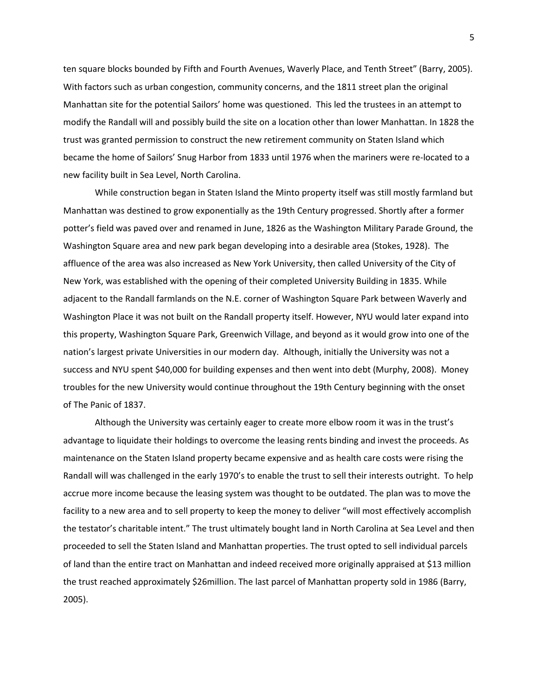ten square blocks bounded by Fifth and Fourth Avenues, Waverly Place, and Tenth Street" (Barry, 2005). With factors such as urban congestion, community concerns, and the 1811 street plan the original Manhattan site for the potential Sailors' home was questioned. This led the trustees in an attempt to modify the Randall will and possibly build the site on a location other than lower Manhattan. In 1828 the trust was granted permission to construct the new retirement community on Staten Island which became the home of Sailors' Snug Harbor from 1833 until 1976 when the mariners were re-located to a new facility built in Sea Level, North Carolina.

 While construction began in Staten Island the Minto property itself was still mostly farmland but Manhattan was destined to grow exponentially as the 19th Century progressed. Shortly after a former potter's field was paved over and renamed in June, 1826 as the Washington Military Parade Ground, the Washington Square area and new park began developing into a desirable area (Stokes, 1928). The affluence of the area was also increased as New York University, then called University of the City of New York, was established with the opening of their completed University Building in 1835. While adjacent to the Randall farmlands on the N.E. corner of Washington Square Park between Waverly and Washington Place it was not built on the Randall property itself. However, NYU would later expand into this property, Washington Square Park, Greenwich Village, and beyond as it would grow into one of the nation's largest private Universities in our modern day. Although, initially the University was not a success and NYU spent \$40,000 for building expenses and then went into debt (Murphy, 2008). Money troubles for the new University would continue throughout the 19th Century beginning with the onset of The Panic of 1837.

Although the University was certainly eager to create more elbow room it was in the trust's advantage to liquidate their holdings to overcome the leasing rents binding and invest the proceeds. As maintenance on the Staten Island property became expensive and as health care costs were rising the Randall will was challenged in the early 1970's to enable the trust to sell their interests outright. To help accrue more income because the leasing system was thought to be outdated. The plan was to move the facility to a new area and to sell property to keep the money to deliver "will most effectively accomplish the testator's charitable intent." The trust ultimately bought land in North Carolina at Sea Level and then proceeded to sell the Staten Island and Manhattan properties. The trust opted to sell individual parcels of land than the entire tract on Manhattan and indeed received more originally appraised at \$13 million the trust reached approximately \$26million. The last parcel of Manhattan property sold in 1986 (Barry, 2005).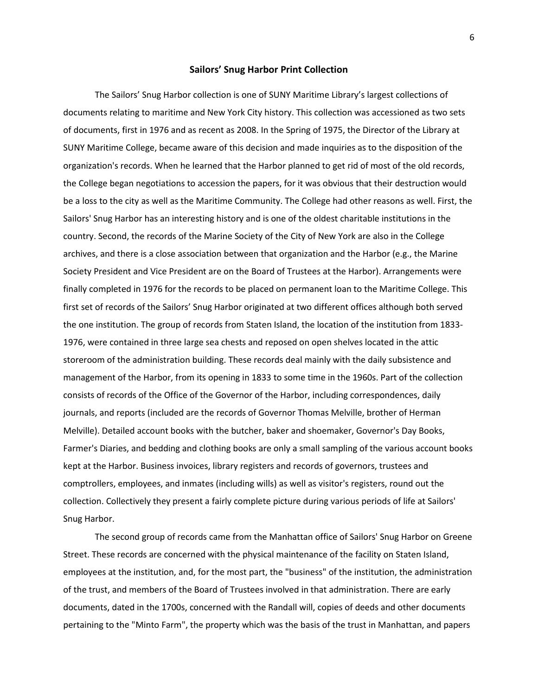# Sailors' Snug Harbor Print Collection

The Sailors' Snug Harbor collection is one of SUNY Maritime Library's largest collections of documents relating to maritime and New York City history. This collection was accessioned as two sets of documents, first in 1976 and as recent as 2008. In the Spring of 1975, the Director of the Library at SUNY Maritime College, became aware of this decision and made inquiries as to the disposition of the organization's records. When he learned that the Harbor planned to get rid of most of the old records, the College began negotiations to accession the papers, for it was obvious that their destruction would be a loss to the city as well as the Maritime Community. The College had other reasons as well. First, the Sailors' Snug Harbor has an interesting history and is one of the oldest charitable institutions in the country. Second, the records of the Marine Society of the City of New York are also in the College archives, and there is a close association between that organization and the Harbor (e.g., the Marine Society President and Vice President are on the Board of Trustees at the Harbor). Arrangements were finally completed in 1976 for the records to be placed on permanent loan to the Maritime College. This first set of records of the Sailors' Snug Harbor originated at two different offices although both served the one institution. The group of records from Staten Island, the location of the institution from 1833- 1976, were contained in three large sea chests and reposed on open shelves located in the attic storeroom of the administration building. These records deal mainly with the daily subsistence and management of the Harbor, from its opening in 1833 to some time in the 1960s. Part of the collection consists of records of the Office of the Governor of the Harbor, including correspondences, daily journals, and reports (included are the records of Governor Thomas Melville, brother of Herman Melville). Detailed account books with the butcher, baker and shoemaker, Governor's Day Books, Farmer's Diaries, and bedding and clothing books are only a small sampling of the various account books kept at the Harbor. Business invoices, library registers and records of governors, trustees and comptrollers, employees, and inmates (including wills) as well as visitor's registers, round out the collection. Collectively they present a fairly complete picture during various periods of life at Sailors' Snug Harbor.

The second group of records came from the Manhattan office of Sailors' Snug Harbor on Greene Street. These records are concerned with the physical maintenance of the facility on Staten Island, employees at the institution, and, for the most part, the "business" of the institution, the administration of the trust, and members of the Board of Trustees involved in that administration. There are early documents, dated in the 1700s, concerned with the Randall will, copies of deeds and other documents pertaining to the "Minto Farm", the property which was the basis of the trust in Manhattan, and papers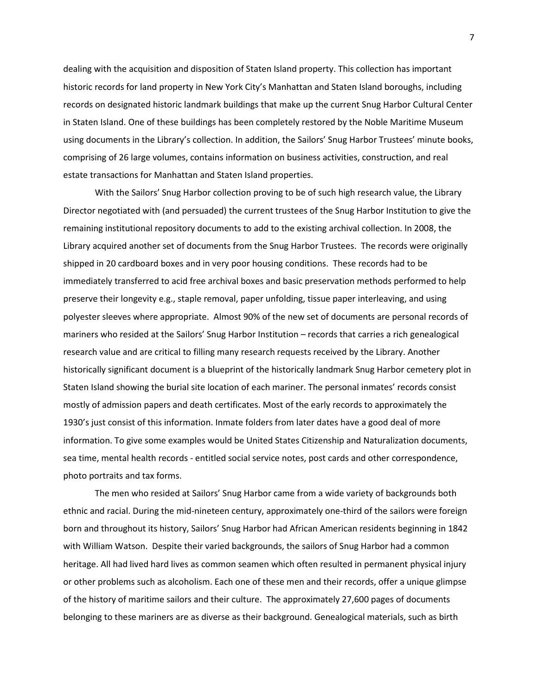dealing with the acquisition and disposition of Staten Island property. This collection has important historic records for land property in New York City's Manhattan and Staten Island boroughs, including records on designated historic landmark buildings that make up the current Snug Harbor Cultural Center in Staten Island. One of these buildings has been completely restored by the Noble Maritime Museum using documents in the Library's collection. In addition, the Sailors' Snug Harbor Trustees' minute books, comprising of 26 large volumes, contains information on business activities, construction, and real estate transactions for Manhattan and Staten Island properties.

With the Sailors' Snug Harbor collection proving to be of such high research value, the Library Director negotiated with (and persuaded) the current trustees of the Snug Harbor Institution to give the remaining institutional repository documents to add to the existing archival collection. In 2008, the Library acquired another set of documents from the Snug Harbor Trustees. The records were originally shipped in 20 cardboard boxes and in very poor housing conditions. These records had to be immediately transferred to acid free archival boxes and basic preservation methods performed to help preserve their longevity e.g., staple removal, paper unfolding, tissue paper interleaving, and using polyester sleeves where appropriate. Almost 90% of the new set of documents are personal records of mariners who resided at the Sailors' Snug Harbor Institution – records that carries a rich genealogical research value and are critical to filling many research requests received by the Library. Another historically significant document is a blueprint of the historically landmark Snug Harbor cemetery plot in Staten Island showing the burial site location of each mariner. The personal inmates' records consist mostly of admission papers and death certificates. Most of the early records to approximately the 1930's just consist of this information. Inmate folders from later dates have a good deal of more information. To give some examples would be United States Citizenship and Naturalization documents, sea time, mental health records - entitled social service notes, post cards and other correspondence, photo portraits and tax forms.

The men who resided at Sailors' Snug Harbor came from a wide variety of backgrounds both ethnic and racial. During the mid-nineteen century, approximately one-third of the sailors were foreign born and throughout its history, Sailors' Snug Harbor had African American residents beginning in 1842 with William Watson. Despite their varied backgrounds, the sailors of Snug Harbor had a common heritage. All had lived hard lives as common seamen which often resulted in permanent physical injury or other problems such as alcoholism. Each one of these men and their records, offer a unique glimpse of the history of maritime sailors and their culture. The approximately 27,600 pages of documents belonging to these mariners are as diverse as their background. Genealogical materials, such as birth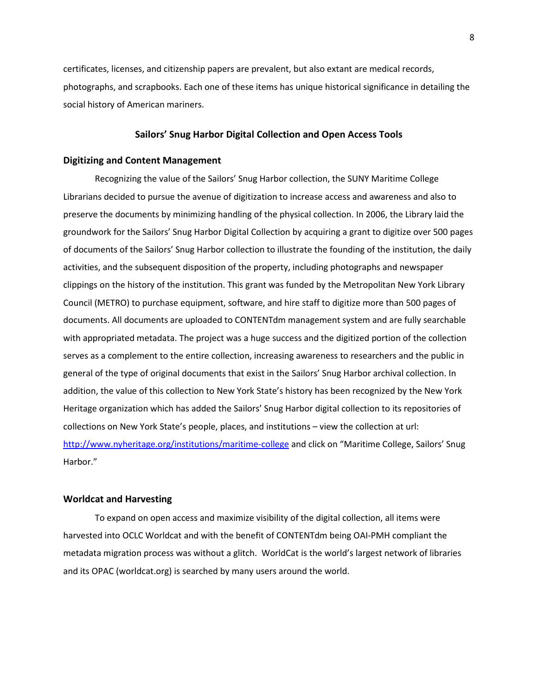certificates, licenses, and citizenship papers are prevalent, but also extant are medical records, photographs, and scrapbooks. Each one of these items has unique historical significance in detailing the social history of American mariners.

# Sailors' Snug Harbor Digital Collection and Open Access Tools

# Digitizing and Content Management

Recognizing the value of the Sailors' Snug Harbor collection, the SUNY Maritime College Librarians decided to pursue the avenue of digitization to increase access and awareness and also to preserve the documents by minimizing handling of the physical collection. In 2006, the Library laid the groundwork for the Sailors' Snug Harbor Digital Collection by acquiring a grant to digitize over 500 pages of documents of the Sailors' Snug Harbor collection to illustrate the founding of the institution, the daily activities, and the subsequent disposition of the property, including photographs and newspaper clippings on the history of the institution. This grant was funded by the Metropolitan New York Library Council (METRO) to purchase equipment, software, and hire staff to digitize more than 500 pages of documents. All documents are uploaded to CONTENTdm management system and are fully searchable with appropriated metadata. The project was a huge success and the digitized portion of the collection serves as a complement to the entire collection, increasing awareness to researchers and the public in general of the type of original documents that exist in the Sailors' Snug Harbor archival collection. In addition, the value of this collection to New York State's history has been recognized by the New York Heritage organization which has added the Sailors' Snug Harbor digital collection to its repositories of collections on New York State's people, places, and institutions – view the collection at url: http://www.nyheritage.org/institutions/maritime-college and click on "Maritime College, Sailors' Snug Harbor."

#### Worldcat and Harvesting

To expand on open access and maximize visibility of the digital collection, all items were harvested into OCLC Worldcat and with the benefit of CONTENTdm being OAI-PMH compliant the metadata migration process was without a glitch. WorldCat is the world's largest network of libraries and its OPAC (worldcat.org) is searched by many users around the world.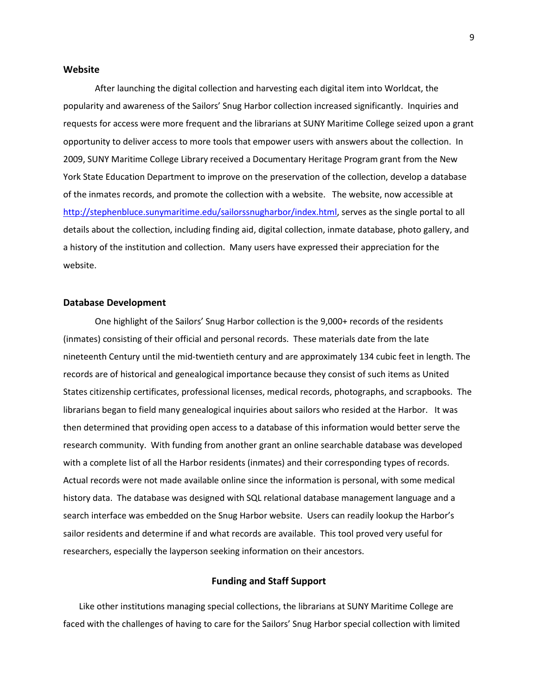### Website

After launching the digital collection and harvesting each digital item into Worldcat, the popularity and awareness of the Sailors' Snug Harbor collection increased significantly. Inquiries and requests for access were more frequent and the librarians at SUNY Maritime College seized upon a grant opportunity to deliver access to more tools that empower users with answers about the collection. In 2009, SUNY Maritime College Library received a Documentary Heritage Program grant from the New York State Education Department to improve on the preservation of the collection, develop a database of the inmates records, and promote the collection with a website. The website, now accessible at http://stephenbluce.sunymaritime.edu/sailorssnugharbor/index.html, serves as the single portal to all details about the collection, including finding aid, digital collection, inmate database, photo gallery, and a history of the institution and collection. Many users have expressed their appreciation for the website.

# Database Development

One highlight of the Sailors' Snug Harbor collection is the 9,000+ records of the residents (inmates) consisting of their official and personal records. These materials date from the late nineteenth Century until the mid-twentieth century and are approximately 134 cubic feet in length. The records are of historical and genealogical importance because they consist of such items as United States citizenship certificates, professional licenses, medical records, photographs, and scrapbooks. The librarians began to field many genealogical inquiries about sailors who resided at the Harbor. It was then determined that providing open access to a database of this information would better serve the research community. With funding from another grant an online searchable database was developed with a complete list of all the Harbor residents (inmates) and their corresponding types of records. Actual records were not made available online since the information is personal, with some medical history data. The database was designed with SQL relational database management language and a search interface was embedded on the Snug Harbor website. Users can readily lookup the Harbor's sailor residents and determine if and what records are available. This tool proved very useful for researchers, especially the layperson seeking information on their ancestors.

# Funding and Staff Support

Like other institutions managing special collections, the librarians at SUNY Maritime College are faced with the challenges of having to care for the Sailors' Snug Harbor special collection with limited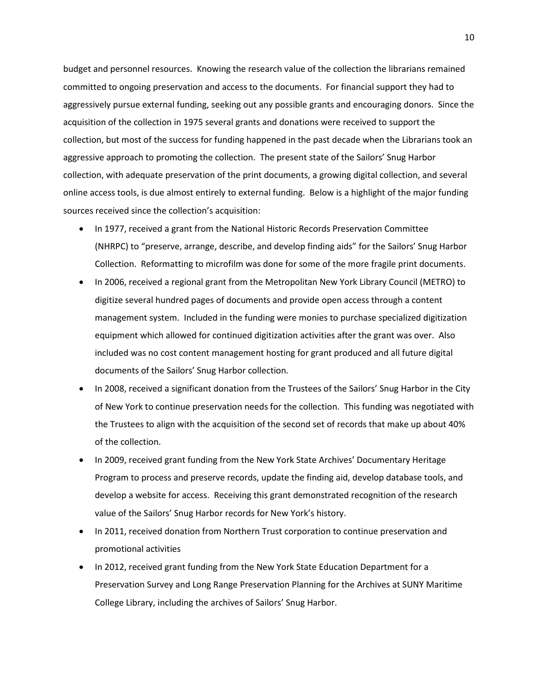budget and personnel resources. Knowing the research value of the collection the librarians remained committed to ongoing preservation and access to the documents. For financial support they had to aggressively pursue external funding, seeking out any possible grants and encouraging donors. Since the acquisition of the collection in 1975 several grants and donations were received to support the collection, but most of the success for funding happened in the past decade when the Librarians took an aggressive approach to promoting the collection. The present state of the Sailors' Snug Harbor collection, with adequate preservation of the print documents, a growing digital collection, and several online access tools, is due almost entirely to external funding. Below is a highlight of the major funding sources received since the collection's acquisition:

- In 1977, received a grant from the National Historic Records Preservation Committee (NHRPC) to "preserve, arrange, describe, and develop finding aids" for the Sailors' Snug Harbor Collection. Reformatting to microfilm was done for some of the more fragile print documents.
- In 2006, received a regional grant from the Metropolitan New York Library Council (METRO) to digitize several hundred pages of documents and provide open access through a content management system. Included in the funding were monies to purchase specialized digitization equipment which allowed for continued digitization activities after the grant was over. Also included was no cost content management hosting for grant produced and all future digital documents of the Sailors' Snug Harbor collection.
- In 2008, received a significant donation from the Trustees of the Sailors' Snug Harbor in the City of New York to continue preservation needs for the collection. This funding was negotiated with the Trustees to align with the acquisition of the second set of records that make up about 40% of the collection.
- In 2009, received grant funding from the New York State Archives' Documentary Heritage Program to process and preserve records, update the finding aid, develop database tools, and develop a website for access. Receiving this grant demonstrated recognition of the research value of the Sailors' Snug Harbor records for New York's history.
- In 2011, received donation from Northern Trust corporation to continue preservation and promotional activities
- In 2012, received grant funding from the New York State Education Department for a Preservation Survey and Long Range Preservation Planning for the Archives at SUNY Maritime College Library, including the archives of Sailors' Snug Harbor.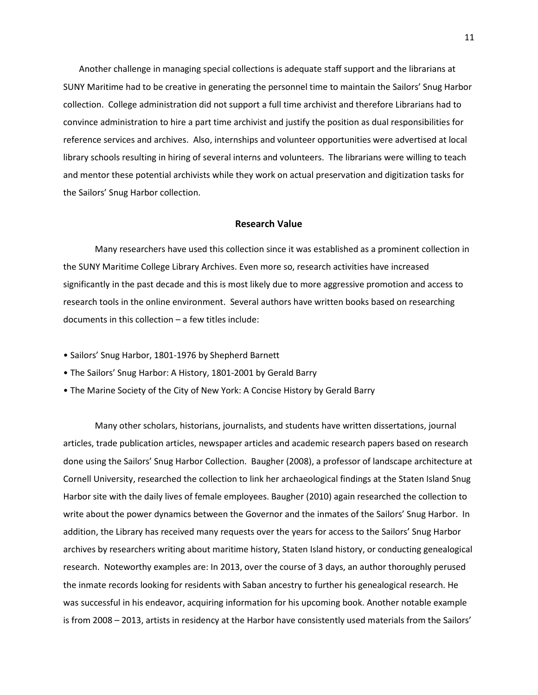Another challenge in managing special collections is adequate staff support and the librarians at SUNY Maritime had to be creative in generating the personnel time to maintain the Sailors' Snug Harbor collection. College administration did not support a full time archivist and therefore Librarians had to convince administration to hire a part time archivist and justify the position as dual responsibilities for reference services and archives. Also, internships and volunteer opportunities were advertised at local library schools resulting in hiring of several interns and volunteers. The librarians were willing to teach and mentor these potential archivists while they work on actual preservation and digitization tasks for the Sailors' Snug Harbor collection.

# Research Value

Many researchers have used this collection since it was established as a prominent collection in the SUNY Maritime College Library Archives. Even more so, research activities have increased significantly in the past decade and this is most likely due to more aggressive promotion and access to research tools in the online environment. Several authors have written books based on researching documents in this collection – a few titles include:

- Sailors' Snug Harbor, 1801-1976 by Shepherd Barnett
- The Sailors' Snug Harbor: A History, 1801-2001 by Gerald Barry
- The Marine Society of the City of New York: A Concise History by Gerald Barry

Many other scholars, historians, journalists, and students have written dissertations, journal articles, trade publication articles, newspaper articles and academic research papers based on research done using the Sailors' Snug Harbor Collection. Baugher (2008), a professor of landscape architecture at Cornell University, researched the collection to link her archaeological findings at the Staten Island Snug Harbor site with the daily lives of female employees. Baugher (2010) again researched the collection to write about the power dynamics between the Governor and the inmates of the Sailors' Snug Harbor. In addition, the Library has received many requests over the years for access to the Sailors' Snug Harbor archives by researchers writing about maritime history, Staten Island history, or conducting genealogical research. Noteworthy examples are: In 2013, over the course of 3 days, an author thoroughly perused the inmate records looking for residents with Saban ancestry to further his genealogical research. He was successful in his endeavor, acquiring information for his upcoming book. Another notable example is from 2008 – 2013, artists in residency at the Harbor have consistently used materials from the Sailors'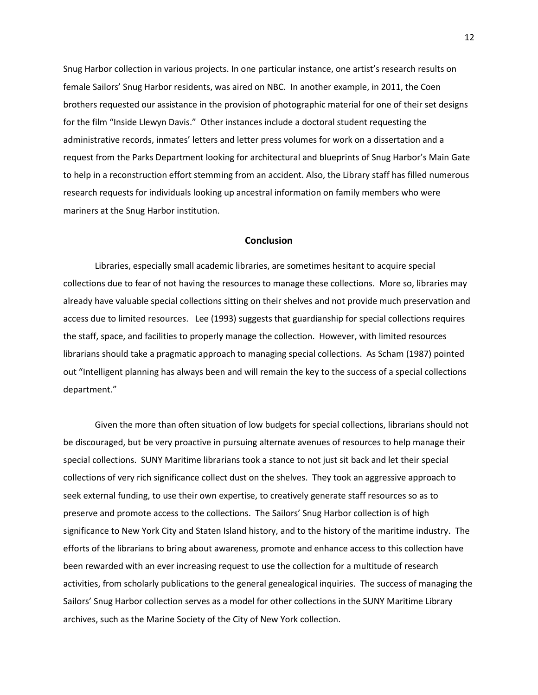Snug Harbor collection in various projects. In one particular instance, one artist's research results on female Sailors' Snug Harbor residents, was aired on NBC. In another example, in 2011, the Coen brothers requested our assistance in the provision of photographic material for one of their set designs for the film "Inside Llewyn Davis." Other instances include a doctoral student requesting the administrative records, inmates' letters and letter press volumes for work on a dissertation and a request from the Parks Department looking for architectural and blueprints of Snug Harbor's Main Gate to help in a reconstruction effort stemming from an accident. Also, the Library staff has filled numerous research requests for individuals looking up ancestral information on family members who were mariners at the Snug Harbor institution.

# Conclusion

Libraries, especially small academic libraries, are sometimes hesitant to acquire special collections due to fear of not having the resources to manage these collections. More so, libraries may already have valuable special collections sitting on their shelves and not provide much preservation and access due to limited resources. Lee (1993) suggests that guardianship for special collections requires the staff, space, and facilities to properly manage the collection. However, with limited resources librarians should take a pragmatic approach to managing special collections. As Scham (1987) pointed out "Intelligent planning has always been and will remain the key to the success of a special collections department."

Given the more than often situation of low budgets for special collections, librarians should not be discouraged, but be very proactive in pursuing alternate avenues of resources to help manage their special collections. SUNY Maritime librarians took a stance to not just sit back and let their special collections of very rich significance collect dust on the shelves. They took an aggressive approach to seek external funding, to use their own expertise, to creatively generate staff resources so as to preserve and promote access to the collections. The Sailors' Snug Harbor collection is of high significance to New York City and Staten Island history, and to the history of the maritime industry. The efforts of the librarians to bring about awareness, promote and enhance access to this collection have been rewarded with an ever increasing request to use the collection for a multitude of research activities, from scholarly publications to the general genealogical inquiries. The success of managing the Sailors' Snug Harbor collection serves as a model for other collections in the SUNY Maritime Library archives, such as the Marine Society of the City of New York collection.